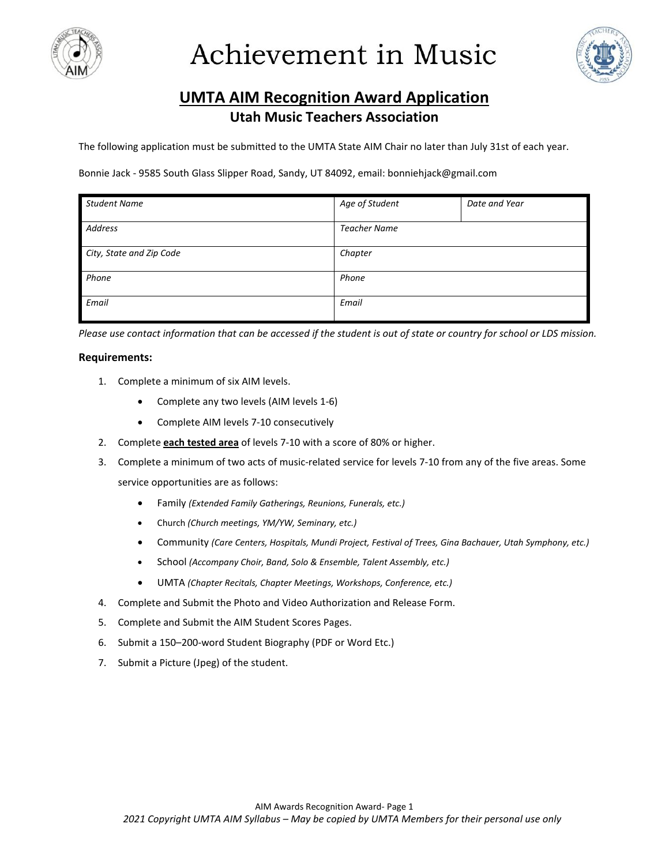



### **UMTA AIM Recognition Award Application Utah Music Teachers Association**

The following application must be submitted to the UMTA State AIM Chair no later than July 31st of each year.

Bonnie Jack - 9585 South Glass Slipper Road, Sandy, UT 84092, email: bonniehjack@gmail.com

| <b>Student Name</b>      | Age of Student      | Date and Year |  |
|--------------------------|---------------------|---------------|--|
| Address                  | <b>Teacher Name</b> |               |  |
| City, State and Zip Code | Chapter             |               |  |
| Phone                    | Phone               |               |  |
| Email                    | Email               |               |  |

*Please use contact information that can be accessed if the student is out of state or country for school or LDS mission.* 

#### **Requirements:**

- 1. Complete a minimum of six AIM levels.
	- Complete any two levels (AIM levels 1-6)
	- Complete AIM levels 7-10 consecutively
- 2. Complete **each tested area** of levels 7-10 with a score of 80% or higher.
- 3. Complete a minimum of two acts of music-related service for levels 7-10 from any of the five areas. Some service opportunities are as follows:
	- Family *(Extended Family Gatherings, Reunions, Funerals, etc.)*
	- Church *(Church meetings, YM/YW, Seminary, etc.)*
	- Community *(Care Centers, Hospitals, Mundi Project, Festival of Trees, Gina Bachauer, Utah Symphony, etc.)*
	- School *(Accompany Choir, Band, Solo & Ensemble, Talent Assembly, etc.)*
	- UMTA *(Chapter Recitals, Chapter Meetings, Workshops, Conference, etc.)*
- 4. Complete and Submit the Photo and Video Authorization and Release Form.
- 5. Complete and Submit the AIM Student Scores Pages.
- 6. Submit a 150–200-word Student Biography (PDF or Word Etc.)
- 7. Submit a Picture (Jpeg) of the student.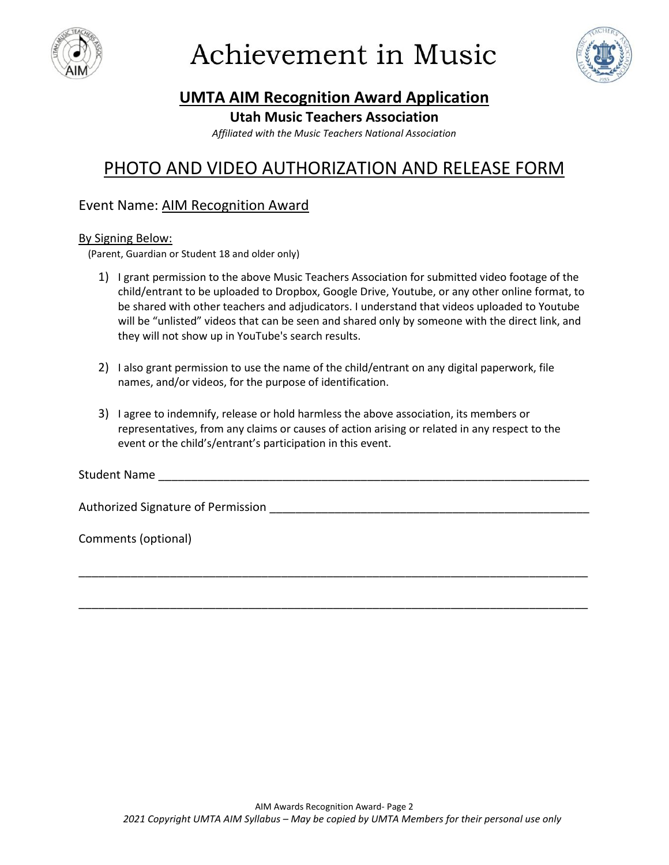



## **UMTA AIM Recognition Award Application**

#### **Utah Music Teachers Association**

*Affiliated with the Music Teachers National Association*

## PHOTO AND VIDEO AUTHORIZATION AND RELEASE FORM

#### Event Name: AIM Recognition Award

#### By Signing Below:

(Parent, Guardian or Student 18 and older only)

- 1) I grant permission to the above Music Teachers Association for submitted video footage of the child/entrant to be uploaded to Dropbox, Google Drive, Youtube, or any other online format, to be shared with other teachers and adjudicators. I understand that videos uploaded to Youtube will be "unlisted" videos that can be seen and shared only by someone with the direct link, and they will not show up in YouTube's search results.
- 2) I also grant permission to use the name of the child/entrant on any digital paperwork, file names, and/or videos, for the purpose of identification.
- 3) I agree to indemnify, release or hold harmless the above association, its members or representatives, from any claims or causes of action arising or related in any respect to the event or the child's/entrant's participation in this event.

Student Name

\_\_\_\_\_\_\_\_\_\_\_\_\_\_\_\_\_\_\_\_\_\_\_\_\_\_\_\_\_\_\_\_\_\_\_\_\_\_\_\_\_\_\_\_\_\_\_\_\_\_\_\_\_\_\_\_\_\_\_\_\_\_\_\_\_\_\_\_\_\_\_\_\_\_\_\_\_\_

\_\_\_\_\_\_\_\_\_\_\_\_\_\_\_\_\_\_\_\_\_\_\_\_\_\_\_\_\_\_\_\_\_\_\_\_\_\_\_\_\_\_\_\_\_\_\_\_\_\_\_\_\_\_\_\_\_\_\_\_\_\_\_\_\_\_\_\_\_\_\_\_\_\_\_\_\_\_

Authorized Signature of Permission **Example 20** and the example of  $\theta$ 

Comments (optional)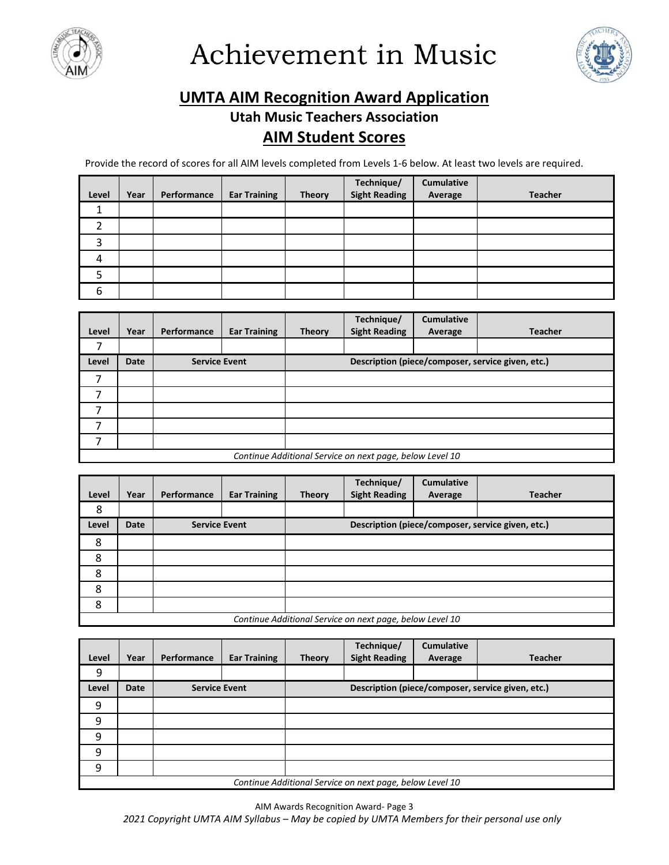



## **UMTA AIM Recognition Award Application**

### **Utah Music Teachers Association AIM Student Scores**

Provide the record of scores for all AIM levels completed from Levels 1-6 below. At least two levels are required.

|       |      |             |                     |               | Technique/<br>Sight Reading | Cumulative |                |
|-------|------|-------------|---------------------|---------------|-----------------------------|------------|----------------|
| Level | Year | Performance | <b>Ear Training</b> | <b>Theory</b> |                             | Average    | <b>Teacher</b> |
|       |      |             |                     |               |                             |            |                |
|       |      |             |                     |               |                             |            |                |
| 3     |      |             |                     |               |                             |            |                |
| 4     |      |             |                     |               |                             |            |                |
|       |      |             |                     |               |                             |            |                |
| 6     |      |             |                     |               |                             |            |                |

| Level          | Year                                                     | Performance          | <b>Ear Training</b> | <b>Theory</b> | Technique/<br><b>Sight Reading</b>                | <b>Cumulative</b><br>Average | <b>Teacher</b> |
|----------------|----------------------------------------------------------|----------------------|---------------------|---------------|---------------------------------------------------|------------------------------|----------------|
| 7              |                                                          |                      |                     |               |                                                   |                              |                |
| Level          | <b>Date</b>                                              | <b>Service Event</b> |                     |               | Description (piece/composer, service given, etc.) |                              |                |
|                |                                                          |                      |                     |               |                                                   |                              |                |
| $\overline{ }$ |                                                          |                      |                     |               |                                                   |                              |                |
| ⇁              |                                                          |                      |                     |               |                                                   |                              |                |
|                |                                                          |                      |                     |               |                                                   |                              |                |
| ⇁              |                                                          |                      |                     |               |                                                   |                              |                |
|                | Continue Additional Service on next page, below Level 10 |                      |                     |               |                                                   |                              |                |

|       |                                                          |                      |                     |               | Technique/           | <b>Cumulative</b> |                                                   |
|-------|----------------------------------------------------------|----------------------|---------------------|---------------|----------------------|-------------------|---------------------------------------------------|
| Level | Year                                                     | Performance          | <b>Ear Training</b> | <b>Theory</b> | <b>Sight Reading</b> | Average           | <b>Teacher</b>                                    |
| 8     |                                                          |                      |                     |               |                      |                   |                                                   |
| Level | <b>Date</b>                                              | <b>Service Event</b> |                     |               |                      |                   | Description (piece/composer, service given, etc.) |
| 8     |                                                          |                      |                     |               |                      |                   |                                                   |
| 8     |                                                          |                      |                     |               |                      |                   |                                                   |
| 8     |                                                          |                      |                     |               |                      |                   |                                                   |
| 8     |                                                          |                      |                     |               |                      |                   |                                                   |
| 8     |                                                          |                      |                     |               |                      |                   |                                                   |
|       | Continue Additional Service on next page, below Level 10 |                      |                     |               |                      |                   |                                                   |

|       |                                                          |                      |                     |               | Technique/                                        | <b>Cumulative</b> |                |
|-------|----------------------------------------------------------|----------------------|---------------------|---------------|---------------------------------------------------|-------------------|----------------|
| Level | Year                                                     | Performance          | <b>Ear Training</b> | <b>Theory</b> | <b>Sight Reading</b>                              | Average           | <b>Teacher</b> |
| 9     |                                                          |                      |                     |               |                                                   |                   |                |
| Level | <b>Date</b>                                              | <b>Service Event</b> |                     |               | Description (piece/composer, service given, etc.) |                   |                |
| 9     |                                                          |                      |                     |               |                                                   |                   |                |
| 9     |                                                          |                      |                     |               |                                                   |                   |                |
| 9     |                                                          |                      |                     |               |                                                   |                   |                |
| 9     |                                                          |                      |                     |               |                                                   |                   |                |
| 9     |                                                          |                      |                     |               |                                                   |                   |                |
|       | Continue Additional Service on next page, below Level 10 |                      |                     |               |                                                   |                   |                |

AIM Awards Recognition Award- Page 3 *2021 Copyright UMTA AIM Syllabus – May be copied by UMTA Members for their personal use only*